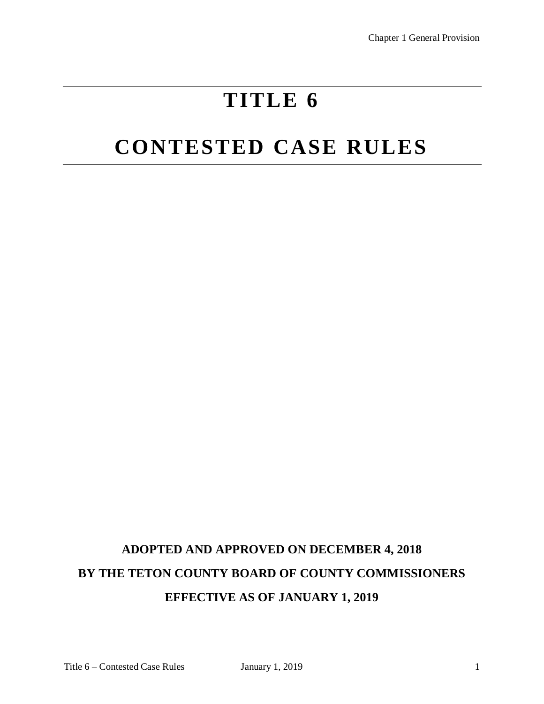# **TITLE 6**

# **CONTESTED CASE RULES**

## **ADOPTED AND APPROVED ON DECEMBER 4, 2018 BY THE TETON COUNTY BOARD OF COUNTY COMMISSIONERS EFFECTIVE AS OF JANUARY 1, 2019**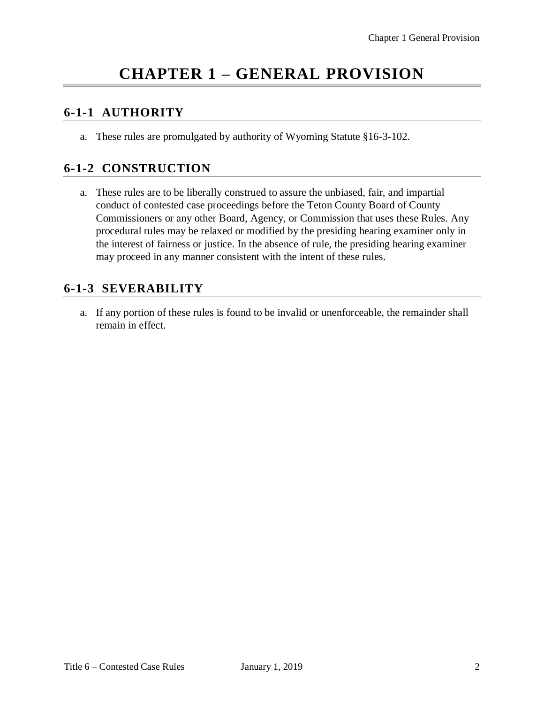## **CHAPTER 1 – GENERAL PROVISION**

#### **6-1-1 AUTHORITY**

a. These rules are promulgated by authority of Wyoming Statute §16-3-102.

#### **6-1-2 CONSTRUCTION**

a. These rules are to be liberally construed to assure the unbiased, fair, and impartial conduct of contested case proceedings before the Teton County Board of County Commissioners or any other Board, Agency, or Commission that uses these Rules. Any procedural rules may be relaxed or modified by the presiding hearing examiner only in the interest of fairness or justice. In the absence of rule, the presiding hearing examiner may proceed in any manner consistent with the intent of these rules.

#### **6-1-3 SEVERABILITY**

a. If any portion of these rules is found to be invalid or unenforceable, the remainder shall remain in effect.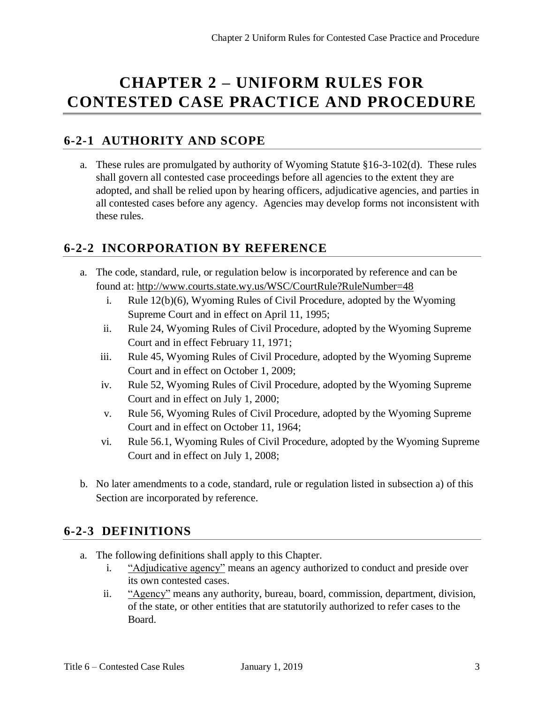## **CHAPTER 2 – UNIFORM RULES FOR CONTESTED CASE PRACTICE AND PROCEDURE**

## **6-2-1 AUTHORITY AND SCOPE**

a. These rules are promulgated by authority of Wyoming Statute §16-3-102(d). These rules shall govern all contested case proceedings before all agencies to the extent they are adopted, and shall be relied upon by hearing officers, adjudicative agencies, and parties in all contested cases before any agency. Agencies may develop forms not inconsistent with these rules.

## **6-2-2 INCORPORATION BY REFERENCE**

- a. The code, standard, rule, or regulation below is incorporated by reference and can be found at:<http://www.courts.state.wy.us/WSC/CourtRule?RuleNumber=48>
	- i. Rule 12(b)(6), Wyoming Rules of Civil Procedure, adopted by the Wyoming Supreme Court and in effect on April 11, 1995;
	- ii. Rule 24, Wyoming Rules of Civil Procedure, adopted by the Wyoming Supreme Court and in effect February 11, 1971;
	- iii. Rule 45, Wyoming Rules of Civil Procedure, adopted by the Wyoming Supreme Court and in effect on October 1, 2009;
	- iv. Rule 52, Wyoming Rules of Civil Procedure, adopted by the Wyoming Supreme Court and in effect on July 1, 2000;
	- v. Rule 56, Wyoming Rules of Civil Procedure, adopted by the Wyoming Supreme Court and in effect on October 11, 1964;
	- vi. Rule 56.1, Wyoming Rules of Civil Procedure, adopted by the Wyoming Supreme Court and in effect on July 1, 2008;
- b. No later amendments to a code, standard, rule or regulation listed in subsection a) of this Section are incorporated by reference.

## **6-2-3 DEFINITIONS**

- a. The following definitions shall apply to this Chapter.
	- i. "Adjudicative agency" means an agency authorized to conduct and preside over its own contested cases.
	- ii. "Agency" means any authority, bureau, board, commission, department, division, of the state, or other entities that are statutorily authorized to refer cases to the Board.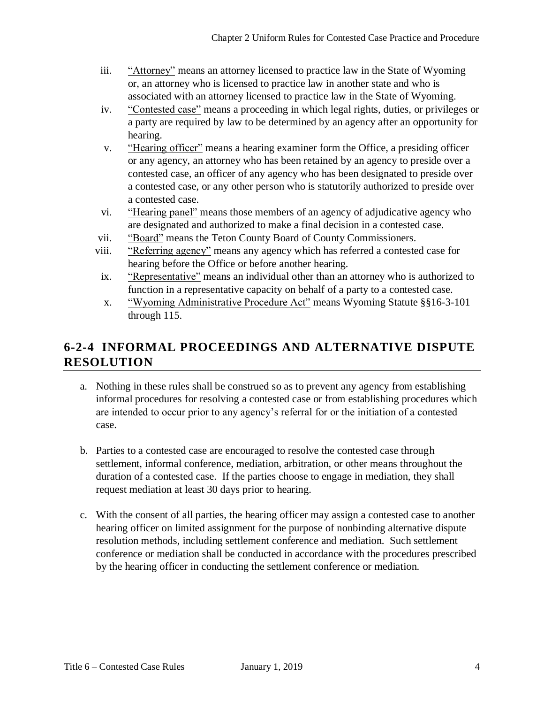- iii. "Attorney" means an attorney licensed to practice law in the State of Wyoming or, an attorney who is licensed to practice law in another state and who is associated with an attorney licensed to practice law in the State of Wyoming.
- iv. "Contested case" means a proceeding in which legal rights, duties, or privileges or a party are required by law to be determined by an agency after an opportunity for hearing.
- v. "Hearing officer" means a hearing examiner form the Office, a presiding officer or any agency, an attorney who has been retained by an agency to preside over a contested case, an officer of any agency who has been designated to preside over a contested case, or any other person who is statutorily authorized to preside over a contested case.
- vi. "Hearing panel" means those members of an agency of adjudicative agency who are designated and authorized to make a final decision in a contested case.
- vii. "Board" means the Teton County Board of County Commissioners.
- viii. "Referring agency" means any agency which has referred a contested case for hearing before the Office or before another hearing.
- ix. "Representative" means an individual other than an attorney who is authorized to function in a representative capacity on behalf of a party to a contested case.
- x. "Wyoming Administrative Procedure Act" means Wyoming Statute §§16-3-101 through 115.

#### **6-2-4 INFORMAL PROCEEDINGS AND ALTERNATIVE DISPUTE RESOLUTION**

- a. Nothing in these rules shall be construed so as to prevent any agency from establishing informal procedures for resolving a contested case or from establishing procedures which are intended to occur prior to any agency's referral for or the initiation of a contested case.
- b. Parties to a contested case are encouraged to resolve the contested case through settlement, informal conference, mediation, arbitration, or other means throughout the duration of a contested case. If the parties choose to engage in mediation, they shall request mediation at least 30 days prior to hearing.
- c. With the consent of all parties, the hearing officer may assign a contested case to another hearing officer on limited assignment for the purpose of nonbinding alternative dispute resolution methods, including settlement conference and mediation. Such settlement conference or mediation shall be conducted in accordance with the procedures prescribed by the hearing officer in conducting the settlement conference or mediation.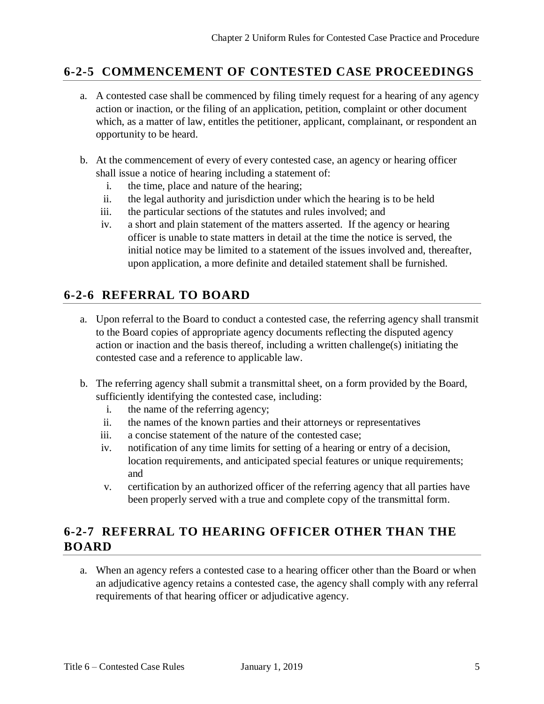#### **6-2-5 COMMENCEMENT OF CONTESTED CASE PROCEEDINGS**

- a. A contested case shall be commenced by filing timely request for a hearing of any agency action or inaction, or the filing of an application, petition, complaint or other document which, as a matter of law, entitles the petitioner, applicant, complainant, or respondent an opportunity to be heard.
- b. At the commencement of every of every contested case, an agency or hearing officer shall issue a notice of hearing including a statement of:
	- i. the time, place and nature of the hearing;
	- ii. the legal authority and jurisdiction under which the hearing is to be held
	- iii. the particular sections of the statutes and rules involved; and
	- iv. a short and plain statement of the matters asserted. If the agency or hearing officer is unable to state matters in detail at the time the notice is served, the initial notice may be limited to a statement of the issues involved and, thereafter, upon application, a more definite and detailed statement shall be furnished.

## **6-2-6 REFERRAL TO BOARD**

- a. Upon referral to the Board to conduct a contested case, the referring agency shall transmit to the Board copies of appropriate agency documents reflecting the disputed agency action or inaction and the basis thereof, including a written challenge(s) initiating the contested case and a reference to applicable law.
- b. The referring agency shall submit a transmittal sheet, on a form provided by the Board, sufficiently identifying the contested case, including:
	- i. the name of the referring agency;
	- ii. the names of the known parties and their attorneys or representatives
	- iii. a concise statement of the nature of the contested case;
	- iv. notification of any time limits for setting of a hearing or entry of a decision, location requirements, and anticipated special features or unique requirements; and
	- v. certification by an authorized officer of the referring agency that all parties have been properly served with a true and complete copy of the transmittal form.

## **6-2-7 REFERRAL TO HEARING OFFICER OTHER THAN THE BOARD**

a. When an agency refers a contested case to a hearing officer other than the Board or when an adjudicative agency retains a contested case, the agency shall comply with any referral requirements of that hearing officer or adjudicative agency.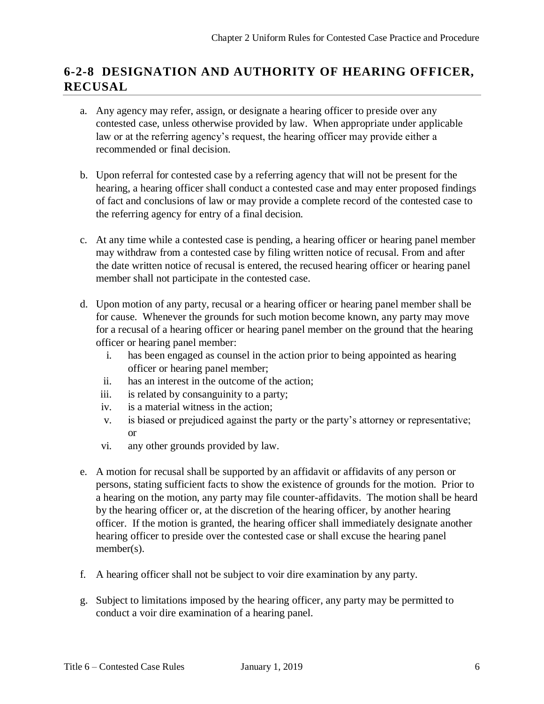## **6-2-8 DESIGNATION AND AUTHORITY OF HEARING OFFICER, RECUSAL**

- a. Any agency may refer, assign, or designate a hearing officer to preside over any contested case, unless otherwise provided by law. When appropriate under applicable law or at the referring agency's request, the hearing officer may provide either a recommended or final decision.
- b. Upon referral for contested case by a referring agency that will not be present for the hearing, a hearing officer shall conduct a contested case and may enter proposed findings of fact and conclusions of law or may provide a complete record of the contested case to the referring agency for entry of a final decision.
- c. At any time while a contested case is pending, a hearing officer or hearing panel member may withdraw from a contested case by filing written notice of recusal. From and after the date written notice of recusal is entered, the recused hearing officer or hearing panel member shall not participate in the contested case.
- d. Upon motion of any party, recusal or a hearing officer or hearing panel member shall be for cause. Whenever the grounds for such motion become known, any party may move for a recusal of a hearing officer or hearing panel member on the ground that the hearing officer or hearing panel member:
	- i. has been engaged as counsel in the action prior to being appointed as hearing officer or hearing panel member;
	- ii. has an interest in the outcome of the action;
	- iii. is related by consanguinity to a party;
	- iv. is a material witness in the action;
	- v. is biased or prejudiced against the party or the party's attorney or representative; or
	- vi. any other grounds provided by law.
- e. A motion for recusal shall be supported by an affidavit or affidavits of any person or persons, stating sufficient facts to show the existence of grounds for the motion. Prior to a hearing on the motion, any party may file counter-affidavits. The motion shall be heard by the hearing officer or, at the discretion of the hearing officer, by another hearing officer. If the motion is granted, the hearing officer shall immediately designate another hearing officer to preside over the contested case or shall excuse the hearing panel member(s).
- f. A hearing officer shall not be subject to voir dire examination by any party.
- g. Subject to limitations imposed by the hearing officer, any party may be permitted to conduct a voir dire examination of a hearing panel.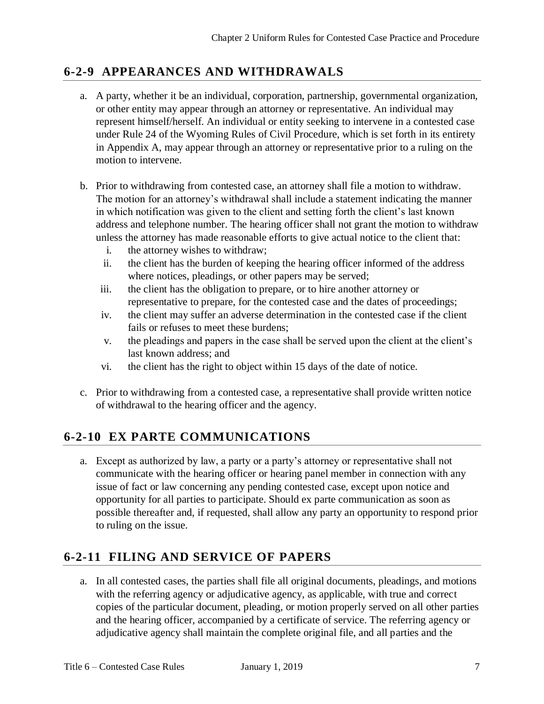### **6-2-9 APPEARANCES AND WITHDRAWALS**

- a. A party, whether it be an individual, corporation, partnership, governmental organization, or other entity may appear through an attorney or representative. An individual may represent himself/herself. An individual or entity seeking to intervene in a contested case under Rule 24 of the Wyoming Rules of Civil Procedure, which is set forth in its entirety in Appendix A, may appear through an attorney or representative prior to a ruling on the motion to intervene.
- b. Prior to withdrawing from contested case, an attorney shall file a motion to withdraw. The motion for an attorney's withdrawal shall include a statement indicating the manner in which notification was given to the client and setting forth the client's last known address and telephone number. The hearing officer shall not grant the motion to withdraw unless the attorney has made reasonable efforts to give actual notice to the client that:
	- i. the attorney wishes to withdraw;
	- ii. the client has the burden of keeping the hearing officer informed of the address where notices, pleadings, or other papers may be served;
	- iii. the client has the obligation to prepare, or to hire another attorney or representative to prepare, for the contested case and the dates of proceedings;
	- iv. the client may suffer an adverse determination in the contested case if the client fails or refuses to meet these burdens;
	- v. the pleadings and papers in the case shall be served upon the client at the client's last known address; and
	- vi. the client has the right to object within 15 days of the date of notice.
- c. Prior to withdrawing from a contested case, a representative shall provide written notice of withdrawal to the hearing officer and the agency.

## **6-2-10 EX PARTE COMMUNICATIONS**

a. Except as authorized by law, a party or a party's attorney or representative shall not communicate with the hearing officer or hearing panel member in connection with any issue of fact or law concerning any pending contested case, except upon notice and opportunity for all parties to participate. Should ex parte communication as soon as possible thereafter and, if requested, shall allow any party an opportunity to respond prior to ruling on the issue.

#### **6-2-11 FILING AND SERVICE OF PAPERS**

a. In all contested cases, the parties shall file all original documents, pleadings, and motions with the referring agency or adjudicative agency, as applicable, with true and correct copies of the particular document, pleading, or motion properly served on all other parties and the hearing officer, accompanied by a certificate of service. The referring agency or adjudicative agency shall maintain the complete original file, and all parties and the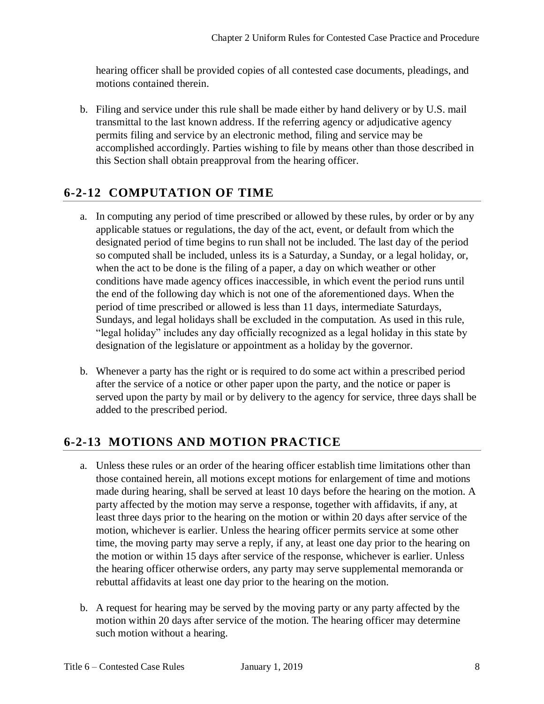hearing officer shall be provided copies of all contested case documents, pleadings, and motions contained therein.

b. Filing and service under this rule shall be made either by hand delivery or by U.S. mail transmittal to the last known address. If the referring agency or adjudicative agency permits filing and service by an electronic method, filing and service may be accomplished accordingly. Parties wishing to file by means other than those described in this Section shall obtain preapproval from the hearing officer.

## **6-2-12 COMPUTATION OF TIME**

- a. In computing any period of time prescribed or allowed by these rules, by order or by any applicable statues or regulations, the day of the act, event, or default from which the designated period of time begins to run shall not be included. The last day of the period so computed shall be included, unless its is a Saturday, a Sunday, or a legal holiday, or, when the act to be done is the filing of a paper, a day on which weather or other conditions have made agency offices inaccessible, in which event the period runs until the end of the following day which is not one of the aforementioned days. When the period of time prescribed or allowed is less than 11 days, intermediate Saturdays, Sundays, and legal holidays shall be excluded in the computation. As used in this rule, "legal holiday" includes any day officially recognized as a legal holiday in this state by designation of the legislature or appointment as a holiday by the governor.
- b. Whenever a party has the right or is required to do some act within a prescribed period after the service of a notice or other paper upon the party, and the notice or paper is served upon the party by mail or by delivery to the agency for service, three days shall be added to the prescribed period.

## **6-2-13 MOTIONS AND MOTION PRACTICE**

- a. Unless these rules or an order of the hearing officer establish time limitations other than those contained herein, all motions except motions for enlargement of time and motions made during hearing, shall be served at least 10 days before the hearing on the motion. A party affected by the motion may serve a response, together with affidavits, if any, at least three days prior to the hearing on the motion or within 20 days after service of the motion, whichever is earlier. Unless the hearing officer permits service at some other time, the moving party may serve a reply, if any, at least one day prior to the hearing on the motion or within 15 days after service of the response, whichever is earlier. Unless the hearing officer otherwise orders, any party may serve supplemental memoranda or rebuttal affidavits at least one day prior to the hearing on the motion.
- b. A request for hearing may be served by the moving party or any party affected by the motion within 20 days after service of the motion. The hearing officer may determine such motion without a hearing.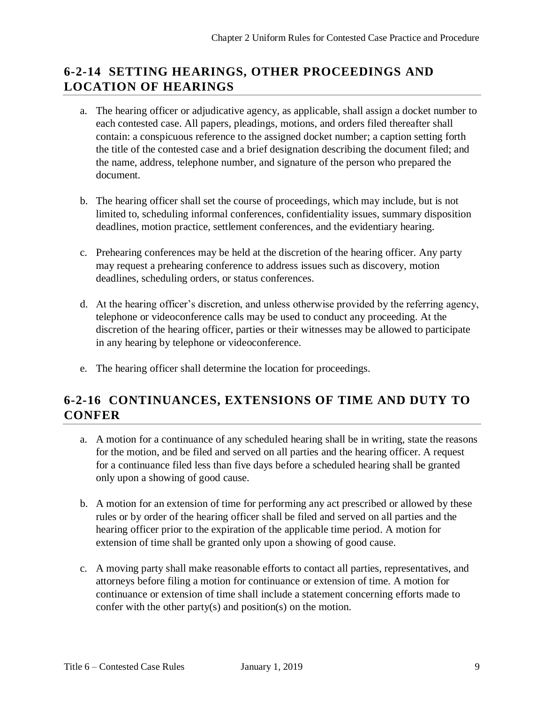## **6-2-14 SETTING HEARINGS, OTHER PROCEEDINGS AND LOCATION OF HEARINGS**

- a. The hearing officer or adjudicative agency, as applicable, shall assign a docket number to each contested case. All papers, pleadings, motions, and orders filed thereafter shall contain: a conspicuous reference to the assigned docket number; a caption setting forth the title of the contested case and a brief designation describing the document filed; and the name, address, telephone number, and signature of the person who prepared the document.
- b. The hearing officer shall set the course of proceedings, which may include, but is not limited to, scheduling informal conferences, confidentiality issues, summary disposition deadlines, motion practice, settlement conferences, and the evidentiary hearing.
- c. Prehearing conferences may be held at the discretion of the hearing officer. Any party may request a prehearing conference to address issues such as discovery, motion deadlines, scheduling orders, or status conferences.
- d. At the hearing officer's discretion, and unless otherwise provided by the referring agency, telephone or videoconference calls may be used to conduct any proceeding. At the discretion of the hearing officer, parties or their witnesses may be allowed to participate in any hearing by telephone or videoconference.
- e. The hearing officer shall determine the location for proceedings.

## **6-2-16 CONTINUANCES, EXTENSIONS OF TIME AND DUTY TO CONFER**

- a. A motion for a continuance of any scheduled hearing shall be in writing, state the reasons for the motion, and be filed and served on all parties and the hearing officer. A request for a continuance filed less than five days before a scheduled hearing shall be granted only upon a showing of good cause.
- b. A motion for an extension of time for performing any act prescribed or allowed by these rules or by order of the hearing officer shall be filed and served on all parties and the hearing officer prior to the expiration of the applicable time period. A motion for extension of time shall be granted only upon a showing of good cause.
- c. A moving party shall make reasonable efforts to contact all parties, representatives, and attorneys before filing a motion for continuance or extension of time. A motion for continuance or extension of time shall include a statement concerning efforts made to confer with the other party(s) and position(s) on the motion.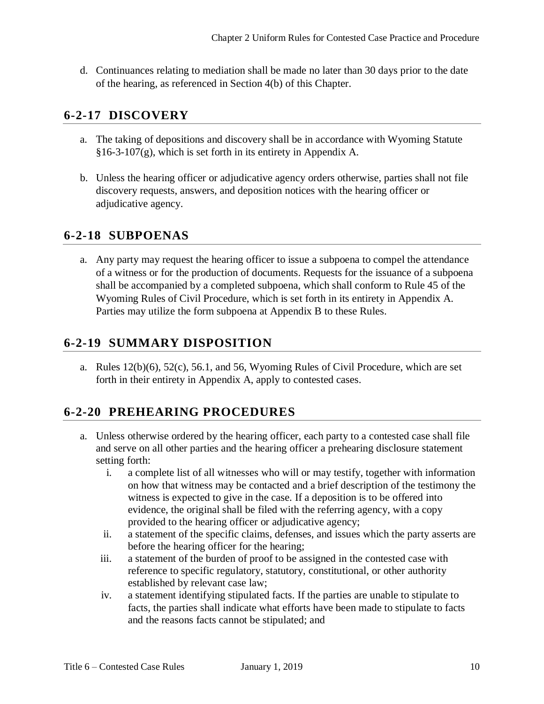d. Continuances relating to mediation shall be made no later than 30 days prior to the date of the hearing, as referenced in Section 4(b) of this Chapter.

#### **6-2-17 DISCOVERY**

- a. The taking of depositions and discovery shall be in accordance with Wyoming Statute §16-3-107(g), which is set forth in its entirety in Appendix A.
- b. Unless the hearing officer or adjudicative agency orders otherwise, parties shall not file discovery requests, answers, and deposition notices with the hearing officer or adjudicative agency.

#### **6-2-18 SUBPOENAS**

a. Any party may request the hearing officer to issue a subpoena to compel the attendance of a witness or for the production of documents. Requests for the issuance of a subpoena shall be accompanied by a completed subpoena, which shall conform to Rule 45 of the Wyoming Rules of Civil Procedure, which is set forth in its entirety in Appendix A. Parties may utilize the form subpoena at Appendix B to these Rules.

## **6-2-19 SUMMARY DISPOSITION**

a. Rules 12(b)(6), 52(c), 56.1, and 56, Wyoming Rules of Civil Procedure, which are set forth in their entirety in Appendix A, apply to contested cases.

## **6-2-20 PREHEARING PROCEDURES**

- a. Unless otherwise ordered by the hearing officer, each party to a contested case shall file and serve on all other parties and the hearing officer a prehearing disclosure statement setting forth:
	- i. a complete list of all witnesses who will or may testify, together with information on how that witness may be contacted and a brief description of the testimony the witness is expected to give in the case. If a deposition is to be offered into evidence, the original shall be filed with the referring agency, with a copy provided to the hearing officer or adjudicative agency;
	- ii. a statement of the specific claims, defenses, and issues which the party asserts are before the hearing officer for the hearing;
	- iii. a statement of the burden of proof to be assigned in the contested case with reference to specific regulatory, statutory, constitutional, or other authority established by relevant case law;
	- iv. a statement identifying stipulated facts. If the parties are unable to stipulate to facts, the parties shall indicate what efforts have been made to stipulate to facts and the reasons facts cannot be stipulated; and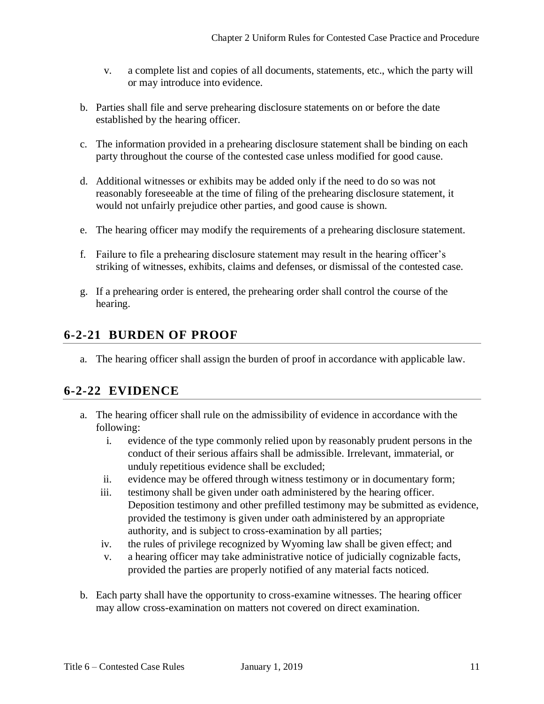- v. a complete list and copies of all documents, statements, etc., which the party will or may introduce into evidence.
- b. Parties shall file and serve prehearing disclosure statements on or before the date established by the hearing officer.
- c. The information provided in a prehearing disclosure statement shall be binding on each party throughout the course of the contested case unless modified for good cause.
- d. Additional witnesses or exhibits may be added only if the need to do so was not reasonably foreseeable at the time of filing of the prehearing disclosure statement, it would not unfairly prejudice other parties, and good cause is shown.
- e. The hearing officer may modify the requirements of a prehearing disclosure statement.
- f. Failure to file a prehearing disclosure statement may result in the hearing officer's striking of witnesses, exhibits, claims and defenses, or dismissal of the contested case.
- g. If a prehearing order is entered, the prehearing order shall control the course of the hearing.

#### **6-2-21 BURDEN OF PROOF**

a. The hearing officer shall assign the burden of proof in accordance with applicable law.

#### **6-2-22 EVIDENCE**

- a. The hearing officer shall rule on the admissibility of evidence in accordance with the following:
	- i. evidence of the type commonly relied upon by reasonably prudent persons in the conduct of their serious affairs shall be admissible. Irrelevant, immaterial, or unduly repetitious evidence shall be excluded;
	- ii. evidence may be offered through witness testimony or in documentary form;
	- iii. testimony shall be given under oath administered by the hearing officer. Deposition testimony and other prefilled testimony may be submitted as evidence, provided the testimony is given under oath administered by an appropriate authority, and is subject to cross-examination by all parties;
	- iv. the rules of privilege recognized by Wyoming law shall be given effect; and
	- v. a hearing officer may take administrative notice of judicially cognizable facts, provided the parties are properly notified of any material facts noticed.
- b. Each party shall have the opportunity to cross-examine witnesses. The hearing officer may allow cross-examination on matters not covered on direct examination.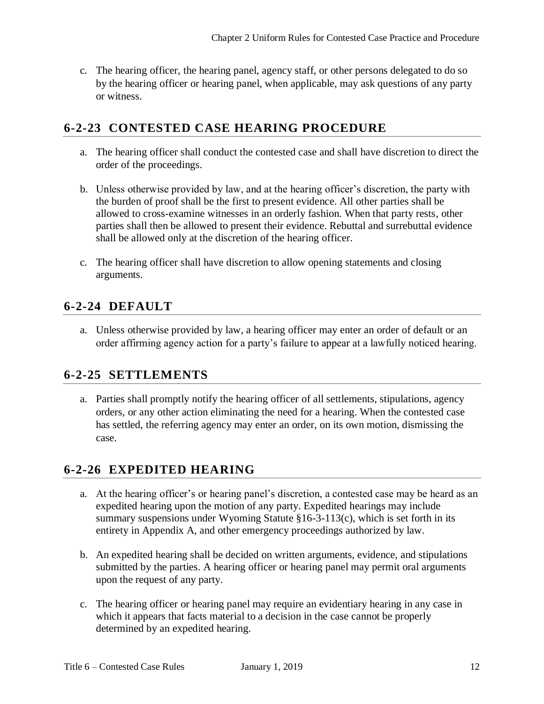c. The hearing officer, the hearing panel, agency staff, or other persons delegated to do so by the hearing officer or hearing panel, when applicable, may ask questions of any party or witness.

### **6-2-23 CONTESTED CASE HEARING PROCEDURE**

- a. The hearing officer shall conduct the contested case and shall have discretion to direct the order of the proceedings.
- b. Unless otherwise provided by law, and at the hearing officer's discretion, the party with the burden of proof shall be the first to present evidence. All other parties shall be allowed to cross-examine witnesses in an orderly fashion. When that party rests, other parties shall then be allowed to present their evidence. Rebuttal and surrebuttal evidence shall be allowed only at the discretion of the hearing officer.
- c. The hearing officer shall have discretion to allow opening statements and closing arguments.

## **6-2-24 DEFAULT**

a. Unless otherwise provided by law, a hearing officer may enter an order of default or an order affirming agency action for a party's failure to appear at a lawfully noticed hearing.

#### **6-2-25 SETTLEMENTS**

a. Parties shall promptly notify the hearing officer of all settlements, stipulations, agency orders, or any other action eliminating the need for a hearing. When the contested case has settled, the referring agency may enter an order, on its own motion, dismissing the case.

## **6-2-26 EXPEDITED HEARING**

- a. At the hearing officer's or hearing panel's discretion, a contested case may be heard as an expedited hearing upon the motion of any party. Expedited hearings may include summary suspensions under Wyoming Statute §16-3-113(c), which is set forth in its entirety in Appendix A, and other emergency proceedings authorized by law.
- b. An expedited hearing shall be decided on written arguments, evidence, and stipulations submitted by the parties. A hearing officer or hearing panel may permit oral arguments upon the request of any party.
- c. The hearing officer or hearing panel may require an evidentiary hearing in any case in which it appears that facts material to a decision in the case cannot be properly determined by an expedited hearing.